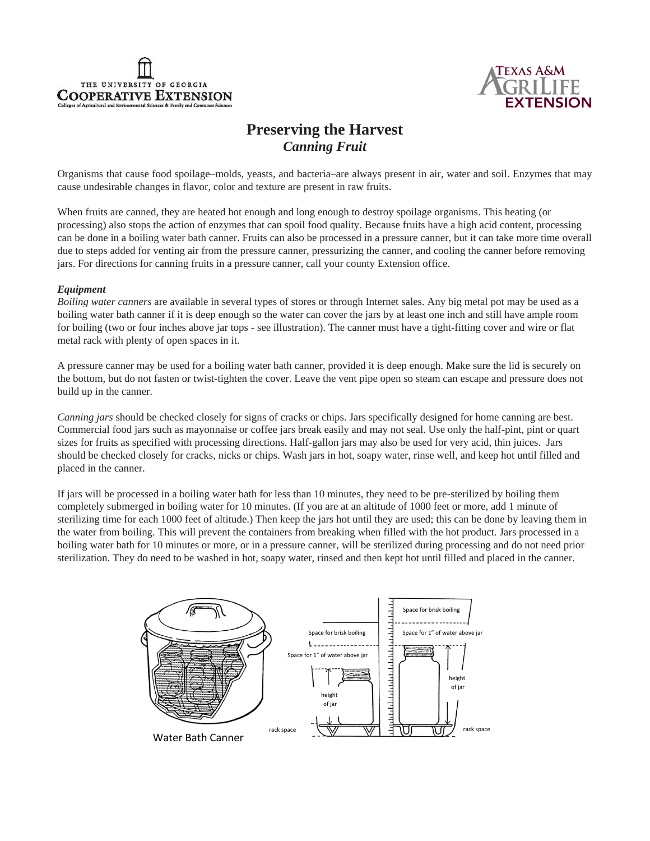



# **Preserving the Harvest** *Canning Fruit*

Organisms that cause food spoilage–molds, yeasts, and bacteria–are always present in air, water and soil. Enzymes that may cause undesirable changes in flavor, color and texture are present in raw fruits.

When fruits are canned, they are heated hot enough and long enough to destroy spoilage organisms. This heating (or processing) also stops the action of enzymes that can spoil food quality. Because fruits have a high acid content, processing can be done in a boiling water bath canner. Fruits can also be processed in a pressure canner, but it can take more time overall due to steps added for venting air from the pressure canner, pressurizing the canner, and cooling the canner before removing jars. For directions for canning fruits in a pressure canner, call your county Extension office.

## *Equipment*

*Boiling water canners* are available in several types of stores or through Internet sales. Any big metal pot may be used as a boiling water bath canner if it is deep enough so the water can cover the jars by at least one inch and still have ample room for boiling (two or four inches above jar tops - see illustration). The canner must have a tight-fitting cover and wire or flat metal rack with plenty of open spaces in it.

A pressure canner may be used for a boiling water bath canner, provided it is deep enough. Make sure the lid is securely on the bottom, but do not fasten or twist-tighten the cover. Leave the vent pipe open so steam can escape and pressure does not build up in the canner.

*Canning jars* should be checked closely for signs of cracks or chips. Jars specifically designed for home canning are best. Commercial food jars such as mayonnaise or coffee jars break easily and may not seal. Use only the half-pint, pint or quart sizes for fruits as specified with processing directions. Half-gallon jars may also be used for very acid, thin juices. Jars should be checked closely for cracks, nicks or chips. Wash jars in hot, soapy water, rinse well, and keep hot until filled and placed in the canner.

If jars will be processed in a boiling water bath for less than 10 minutes, they need to be pre-sterilized by boiling them completely submerged in boiling water for 10 minutes. (If you are at an altitude of 1000 feet or more, add 1 minute of sterilizing time for each 1000 feet of altitude.) Then keep the jars hot until they are used; this can be done by leaving them in the water from boiling. This will prevent the containers from breaking when filled with the hot product. Jars processed in a boiling water bath for 10 minutes or more, or in a pressure canner, will be sterilized during processing and do not need prior sterilization. They do need to be washed in hot, soapy water, rinsed and then kept hot until filled and placed in the canner.

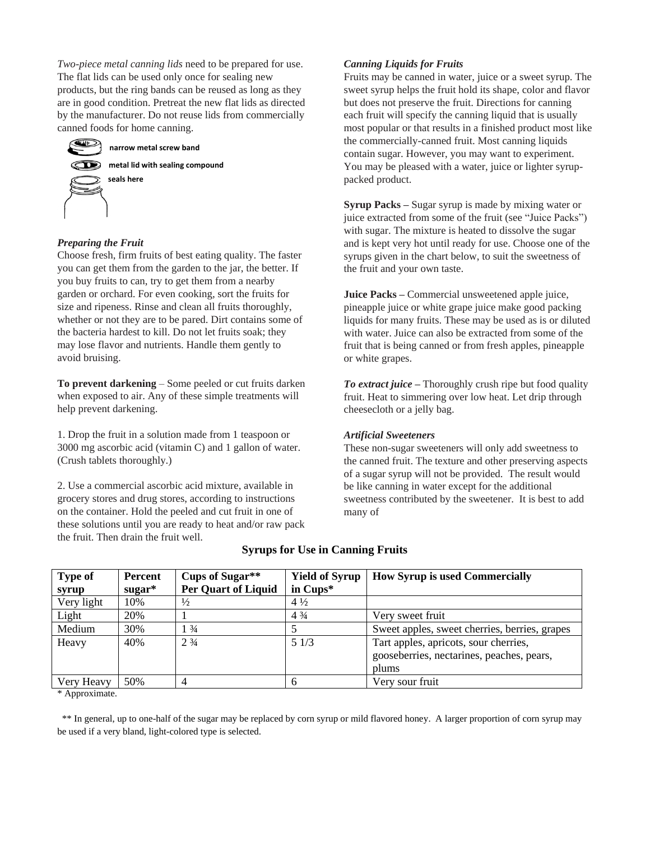*Two-piece metal canning lids* need to be prepared for use. The flat lids can be used only once for sealing new products, but the ring bands can be reused as long as they are in good condition. Pretreat the new flat lids as directed by the manufacturer. Do not reuse lids from commercially canned foods for home canning.



## *Preparing the Fruit*

Choose fresh, firm fruits of best eating quality. The faster you can get them from the garden to the jar, the better. If you buy fruits to can, try to get them from a nearby garden or orchard. For even cooking, sort the fruits for size and ripeness. Rinse and clean all fruits thoroughly, whether or not they are to be pared. Dirt contains some of the bacteria hardest to kill. Do not let fruits soak; they may lose flavor and nutrients. Handle them gently to avoid bruising.

**To prevent darkening** – Some peeled or cut fruits darken when exposed to air. Any of these simple treatments will help prevent darkening.

1. Drop the fruit in a solution made from 1 teaspoon or 3000 mg ascorbic acid (vitamin C) and 1 gallon of water. (Crush tablets thoroughly.)

2. Use a commercial ascorbic acid mixture, available in grocery stores and drug stores, according to instructions on the container. Hold the peeled and cut fruit in one of these solutions until you are ready to heat and/or raw pack the fruit. Then drain the fruit well.

## *Canning Liquids for Fruits*

Fruits may be canned in water, juice or a sweet syrup. The sweet syrup helps the fruit hold its shape, color and flavor but does not preserve the fruit. Directions for canning each fruit will specify the canning liquid that is usually most popular or that results in a finished product most like the commercially-canned fruit. Most canning liquids contain sugar. However, you may want to experiment. You may be pleased with a water, juice or lighter syruppacked product.

**Syrup Packs –** Sugar syrup is made by mixing water or juice extracted from some of the fruit (see "Juice Packs") with sugar. The mixture is heated to dissolve the sugar and is kept very hot until ready for use. Choose one of the syrups given in the chart below, to suit the sweetness of the fruit and your own taste.

**Juice Packs –** Commercial unsweetened apple juice, pineapple juice or white grape juice make good packing liquids for many fruits. These may be used as is or diluted with water. Juice can also be extracted from some of the fruit that is being canned or from fresh apples, pineapple or white grapes.

*To extract juice* **–** Thoroughly crush ripe but food quality fruit. Heat to simmering over low heat. Let drip through cheesecloth or a jelly bag.

## *Artificial Sweeteners*

These non-sugar sweeteners will only add sweetness to the canned fruit. The texture and other preserving aspects of a sugar syrup will not be provided. The result would be like canning in water except for the additional sweetness contributed by the sweetener. It is best to add many of

| <b>Type of</b><br>syrup | Percent<br>$sugar*$ | Cups of Sugar**<br><b>Per Quart of Liquid</b> | <b>Yield of Syrup</b><br>in $Cups^*$ | <b>How Syrup is used Commercially</b>                                                       |
|-------------------------|---------------------|-----------------------------------------------|--------------------------------------|---------------------------------------------------------------------------------------------|
| Very light              | 10%                 | $\frac{1}{2}$                                 | $4\frac{1}{2}$                       |                                                                                             |
| Light                   | 20%                 |                                               | $4\frac{3}{4}$                       | Very sweet fruit                                                                            |
| Medium                  | 30%                 | $\frac{3}{4}$                                 |                                      | Sweet apples, sweet cherries, berries, grapes                                               |
| Heavy                   | 40%                 | $2\frac{3}{4}$                                | 51/3                                 | Tart apples, apricots, sour cherries,<br>gooseberries, nectarines, peaches, pears,<br>plums |
| Very Heavy              | 50%                 | 4                                             | h                                    | Very sour fruit                                                                             |

## **Syrups for Use in Canning Fruits**

\* Approximate.

 \*\* In general, up to one-half of the sugar may be replaced by corn syrup or mild flavored honey. A larger proportion of corn syrup may be used if a very bland, light-colored type is selected.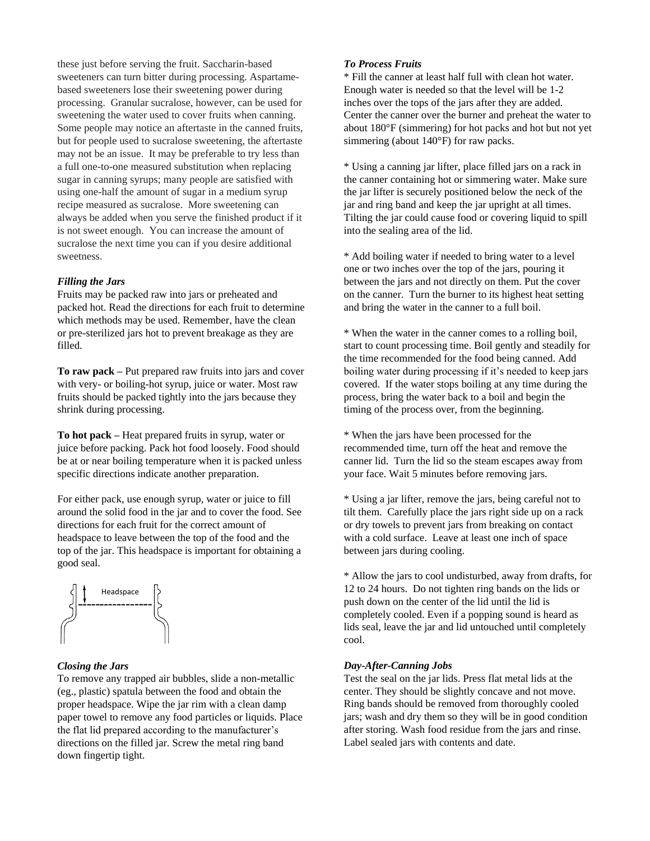these just before serving the fruit. Saccharin-based sweeteners can turn bitter during processing. Aspartamebased sweeteners lose their sweetening power during processing. Granular sucralose, however, can be used for sweetening the water used to cover fruits when canning. Some people may notice an aftertaste in the canned fruits, but for people used to sucralose sweetening, the aftertaste may not be an issue. It may be preferable to try less than a full one-to-one measured substitution when replacing sugar in canning syrups; many people are satisfied with using one-half the amount of sugar in a medium syrup recipe measured as sucralose. More sweetening can always be added when you serve the finished product if it is not sweet enough. You can increase the amount of sucralose the next time you can if you desire additional sweetness.

#### *Filling the Jars*

Fruits may be packed raw into jars or preheated and packed hot. Read the directions for each fruit to determine which methods may be used. Remember, have the clean or pre-sterilized jars hot to prevent breakage as they are filled.

**To raw pack –** Put prepared raw fruits into jars and cover with very- or boiling-hot syrup, juice or water. Most raw fruits should be packed tightly into the jars because they shrink during processing.

**To hot pack –** Heat prepared fruits in syrup, water or juice before packing. Pack hot food loosely. Food should be at or near boiling temperature when it is packed unless specific directions indicate another preparation.

For either pack, use enough syrup, water or juice to fill around the solid food in the jar and to cover the food. See directions for each fruit for the correct amount of headspace to leave between the top of the food and the top of the jar. This headspace is important for obtaining a good seal.



#### *Closing the Jars*

To remove any trapped air bubbles, slide a non-metallic (eg., plastic) spatula between the food and obtain the proper headspace. Wipe the jar rim with a clean damp paper towel to remove any food particles or liquids. Place the flat lid prepared according to the manufacturer's directions on the filled jar. Screw the metal ring band down fingertip tight.

#### *To Process Fruits*

\* Fill the canner at least half full with clean hot water. Enough water is needed so that the level will be 1-2 inches over the tops of the jars after they are added. Center the canner over the burner and preheat the water to about 180°F (simmering) for hot packs and hot but not yet simmering (about 140°F) for raw packs.

\* Using a canning jar lifter, place filled jars on a rack in the canner containing hot or simmering water. Make sure the jar lifter is securely positioned below the neck of the jar and ring band and keep the jar upright at all times. Tilting the jar could cause food or covering liquid to spill into the sealing area of the lid.

\* Add boiling water if needed to bring water to a level one or two inches over the top of the jars, pouring it between the jars and not directly on them. Put the cover on the canner. Turn the burner to its highest heat setting and bring the water in the canner to a full boil.

\* When the water in the canner comes to a rolling boil, start to count processing time. Boil gently and steadily for the time recommended for the food being canned. Add boiling water during processing if it's needed to keep jars covered. If the water stops boiling at any time during the process, bring the water back to a boil and begin the timing of the process over, from the beginning.

\* When the jars have been processed for the recommended time, turn off the heat and remove the canner lid. Turn the lid so the steam escapes away from your face. Wait 5 minutes before removing jars.

\* Using a jar lifter, remove the jars, being careful not to tilt them. Carefully place the jars right side up on a rack or dry towels to prevent jars from breaking on contact with a cold surface. Leave at least one inch of space between jars during cooling.

\* Allow the jars to cool undisturbed, away from drafts, for 12 to 24 hours. Do not tighten ring bands on the lids or push down on the center of the lid until the lid is completely cooled. Even if a popping sound is heard as lids seal, leave the jar and lid untouched until completely cool.

#### *Day-After-Canning Jobs*

Test the seal on the jar lids. Press flat metal lids at the center. They should be slightly concave and not move. Ring bands should be removed from thoroughly cooled jars; wash and dry them so they will be in good condition after storing. Wash food residue from the jars and rinse. Label sealed jars with contents and date.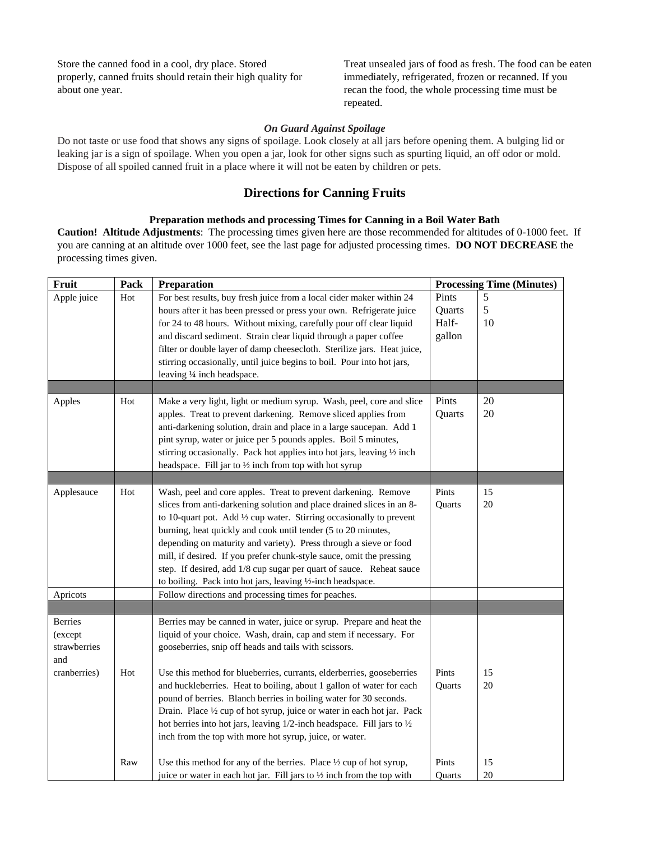Store the canned food in a cool, dry place. Stored properly, canned fruits should retain their high quality for about one year.

Treat unsealed jars of food as fresh. The food can be eaten immediately, refrigerated, frozen or recanned. If you recan the food, the whole processing time must be repeated.

#### *On Guard Against Spoilage*

Do not taste or use food that shows any signs of spoilage. Look closely at all jars before opening them. A bulging lid or leaking jar is a sign of spoilage. When you open a jar, look for other signs such as spurting liquid, an off odor or mold. Dispose of all spoiled canned fruit in a place where it will not be eaten by children or pets.

## **Directions for Canning Fruits**

## **Preparation methods and processing Times for Canning in a Boil Water Bath**

**Caution! Altitude Adjustments**: The processing times given here are those recommended for altitudes of 0-1000 feet. If you are canning at an altitude over 1000 feet, see the last page for adjusted processing times. **DO NOT DECREASE** the processing times given.

| Fruit          | Pack | Preparation                                                                                                                                  |                 | <b>Processing Time (Minutes)</b> |  |
|----------------|------|----------------------------------------------------------------------------------------------------------------------------------------------|-----------------|----------------------------------|--|
| Apple juice    | Hot  | For best results, buy fresh juice from a local cider maker within 24<br>hours after it has been pressed or press your own. Refrigerate juice | Pints<br>Quarts | 5<br>5                           |  |
|                |      | for 24 to 48 hours. Without mixing, carefully pour off clear liquid                                                                          | Half-           | 10                               |  |
|                |      | and discard sediment. Strain clear liquid through a paper coffee                                                                             | gallon          |                                  |  |
|                |      | filter or double layer of damp cheesecloth. Sterilize jars. Heat juice,                                                                      |                 |                                  |  |
|                |      | stirring occasionally, until juice begins to boil. Pour into hot jars,                                                                       |                 |                                  |  |
|                |      | leaving 1/4 inch headspace.                                                                                                                  |                 |                                  |  |
|                |      |                                                                                                                                              |                 |                                  |  |
| Apples         | Hot  | Make a very light, light or medium syrup. Wash, peel, core and slice                                                                         | Pints           | 20                               |  |
|                |      | apples. Treat to prevent darkening. Remove sliced applies from                                                                               | Quarts          | 20                               |  |
|                |      | anti-darkening solution, drain and place in a large saucepan. Add 1                                                                          |                 |                                  |  |
|                |      | pint syrup, water or juice per 5 pounds apples. Boil 5 minutes,                                                                              |                 |                                  |  |
|                |      | stirring occasionally. Pack hot applies into hot jars, leaving 1/2 inch<br>headspace. Fill jar to $\frac{1}{2}$ inch from top with hot syrup |                 |                                  |  |
|                |      |                                                                                                                                              |                 |                                  |  |
| Applesauce     | Hot  | Wash, peel and core apples. Treat to prevent darkening. Remove                                                                               | Pints           | 15                               |  |
|                |      | slices from anti-darkening solution and place drained slices in an 8-                                                                        | Quarts          | 20                               |  |
|                |      | to 10-quart pot. Add 1/2 cup water. Stirring occasionally to prevent                                                                         |                 |                                  |  |
|                |      | burning, heat quickly and cook until tender (5 to 20 minutes,                                                                                |                 |                                  |  |
|                |      | depending on maturity and variety). Press through a sieve or food                                                                            |                 |                                  |  |
|                |      | mill, if desired. If you prefer chunk-style sauce, omit the pressing                                                                         |                 |                                  |  |
|                |      | step. If desired, add 1/8 cup sugar per quart of sauce. Reheat sauce                                                                         |                 |                                  |  |
|                |      | to boiling. Pack into hot jars, leaving 1/2-inch headspace.                                                                                  |                 |                                  |  |
| Apricots       |      | Follow directions and processing times for peaches.                                                                                          |                 |                                  |  |
| <b>Berries</b> |      | Berries may be canned in water, juice or syrup. Prepare and heat the                                                                         |                 |                                  |  |
| (except        |      | liquid of your choice. Wash, drain, cap and stem if necessary. For                                                                           |                 |                                  |  |
| strawberries   |      | gooseberries, snip off heads and tails with scissors.                                                                                        |                 |                                  |  |
| and            |      |                                                                                                                                              |                 |                                  |  |
| cranberries)   | Hot  | Use this method for blueberries, currants, elderberries, gooseberries                                                                        | Pints           | 15                               |  |
|                |      | and huckleberries. Heat to boiling, about 1 gallon of water for each                                                                         | Quarts          | 20                               |  |
|                |      | pound of berries. Blanch berries in boiling water for 30 seconds.                                                                            |                 |                                  |  |
|                |      | Drain. Place 1/2 cup of hot syrup, juice or water in each hot jar. Pack                                                                      |                 |                                  |  |
|                |      | hot berries into hot jars, leaving 1/2-inch headspace. Fill jars to 1/2                                                                      |                 |                                  |  |
|                |      | inch from the top with more hot syrup, juice, or water.                                                                                      |                 |                                  |  |
|                | Raw  | Use this method for any of the berries. Place 1/2 cup of hot syrup,                                                                          | Pints           | 15                               |  |
|                |      | juice or water in each hot jar. Fill jars to 1/2 inch from the top with                                                                      | <b>Ouarts</b>   | 20                               |  |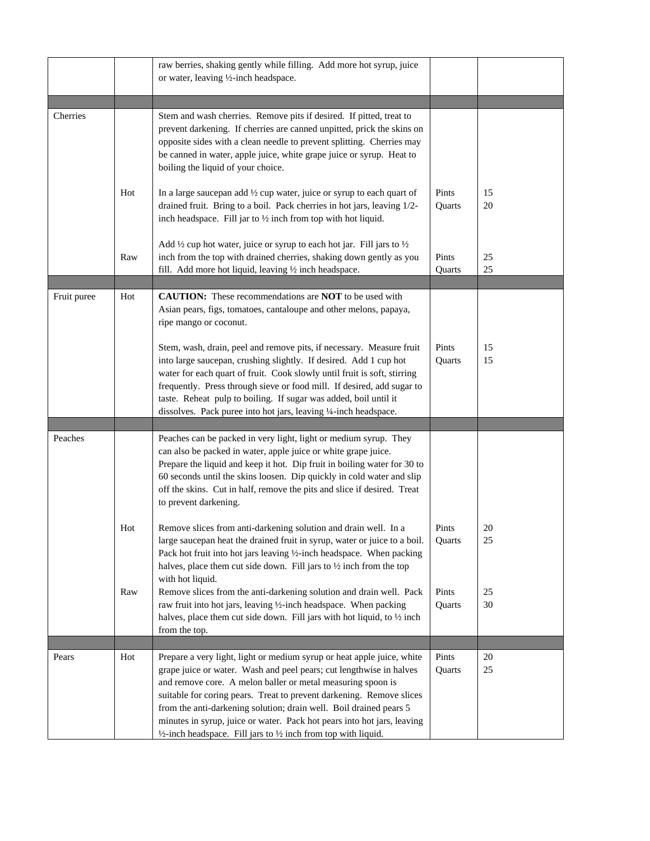|             |     | raw berries, shaking gently while filling. Add more hot syrup, juice<br>or water, leaving 1/2-inch headspace.                                                                                                                                                                                                                                                                                                                                                                                                                 |                 |              |
|-------------|-----|-------------------------------------------------------------------------------------------------------------------------------------------------------------------------------------------------------------------------------------------------------------------------------------------------------------------------------------------------------------------------------------------------------------------------------------------------------------------------------------------------------------------------------|-----------------|--------------|
|             |     |                                                                                                                                                                                                                                                                                                                                                                                                                                                                                                                               |                 |              |
| Cherries    |     | Stem and wash cherries. Remove pits if desired. If pitted, treat to<br>prevent darkening. If cherries are canned unpitted, prick the skins on<br>opposite sides with a clean needle to prevent splitting. Cherries may<br>be canned in water, apple juice, white grape juice or syrup. Heat to<br>boiling the liquid of your choice.                                                                                                                                                                                          |                 |              |
|             | Hot | In a large sauce pan add $\frac{1}{2}$ cup water, juice or syrup to each quart of<br>drained fruit. Bring to a boil. Pack cherries in hot jars, leaving 1/2-<br>inch headspace. Fill jar to $\frac{1}{2}$ inch from top with hot liquid.                                                                                                                                                                                                                                                                                      | Pints<br>Quarts | 15<br>20     |
|             | Raw | Add $\frac{1}{2}$ cup hot water, juice or syrup to each hot jar. Fill jars to $\frac{1}{2}$<br>inch from the top with drained cherries, shaking down gently as you<br>fill. Add more hot liquid, leaving 1/2 inch headspace.                                                                                                                                                                                                                                                                                                  | Pints<br>Quarts | 25<br>25     |
|             |     |                                                                                                                                                                                                                                                                                                                                                                                                                                                                                                                               |                 |              |
| Fruit puree | Hot | <b>CAUTION:</b> These recommendations are <b>NOT</b> to be used with<br>Asian pears, figs, tomatoes, cantaloupe and other melons, papaya,<br>ripe mango or coconut.                                                                                                                                                                                                                                                                                                                                                           |                 |              |
|             |     | Stem, wash, drain, peel and remove pits, if necessary. Measure fruit<br>into large saucepan, crushing slightly. If desired. Add 1 cup hot<br>water for each quart of fruit. Cook slowly until fruit is soft, stirring<br>frequently. Press through sieve or food mill. If desired, add sugar to<br>taste. Reheat pulp to boiling. If sugar was added, boil until it<br>dissolves. Pack puree into hot jars, leaving 1/4-inch headspace.                                                                                       | Pints<br>Quarts | 15<br>15     |
|             |     |                                                                                                                                                                                                                                                                                                                                                                                                                                                                                                                               |                 |              |
| Peaches     |     | Peaches can be packed in very light, light or medium syrup. They<br>can also be packed in water, apple juice or white grape juice.<br>Prepare the liquid and keep it hot. Dip fruit in boiling water for 30 to<br>60 seconds until the skins loosen. Dip quickly in cold water and slip<br>off the skins. Cut in half, remove the pits and slice if desired. Treat<br>to prevent darkening.                                                                                                                                   |                 |              |
|             | Hot | Remove slices from anti-darkening solution and drain well. In a<br>large saucepan heat the drained fruit in syrup, water or juice to a boil.<br>Pack hot fruit into hot jars leaving 1/2-inch headspace. When packing<br>halves, place them cut side down. Fill jars to $\frac{1}{2}$ inch from the top<br>with hot liquid.                                                                                                                                                                                                   | Pints<br>Quarts | 20<br>25     |
|             | Raw | Remove slices from the anti-darkening solution and drain well. Pack<br>raw fruit into hot jars, leaving 1/2-inch headspace. When packing<br>halves, place them cut side down. Fill jars with hot liquid, to 1/2 inch<br>from the top.                                                                                                                                                                                                                                                                                         | Pints<br>Quarts | 25<br>30     |
|             |     |                                                                                                                                                                                                                                                                                                                                                                                                                                                                                                                               |                 |              |
| Pears       | Hot | Prepare a very light, light or medium syrup or heat apple juice, white<br>grape juice or water. Wash and peel pears; cut lengthwise in halves<br>and remove core. A melon baller or metal measuring spoon is<br>suitable for coring pears. Treat to prevent darkening. Remove slices<br>from the anti-darkening solution; drain well. Boil drained pears 5<br>minutes in syrup, juice or water. Pack hot pears into hot jars, leaving<br>$\frac{1}{2}$ -inch headspace. Fill jars to $\frac{1}{2}$ inch from top with liquid. | Pints<br>Quarts | 20<br>$25\,$ |